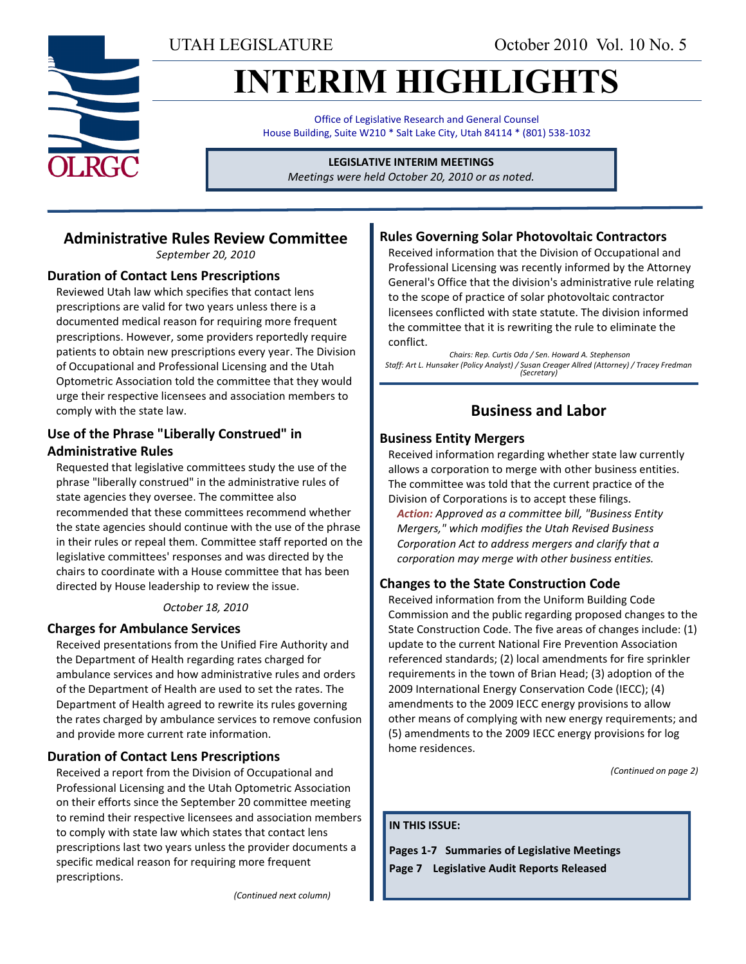UTAH LEGISLATURE October 2010 Vol. 10 No. 5

# **INTERIM HIGHLIGHTS**

Office of Legislative Research and General Counsel House Building, Suite W210 \* Salt Lake City, Utah 84114 \* (801) 538-1032

**LEGISLATIVE INTERIM MEETINGS**

*Meetings were held October 20, 2010 or as noted.*

## **Administrative Rules Review Committee**

*September 20, 2010*

## **Duration of Contact Lens Prescriptions**

Reviewed Utah law which specifies that contact lens prescriptions are valid for two years unless there is a documented medical reason for requiring more frequent prescriptions. However, some providers reportedly require patients to obtain new prescriptions every year. The Division of Occupational and Professional Licensing and the Utah Optometric Association told the committee that they would urge their respective licensees and association members to comply with the state law.

## **Use of the Phrase "Liberally Construed" in Administrative Rules**

Requested that legislative committees study the use of the phrase "liberally construed" in the administrative rules of state agencies they oversee. The committee also recommended that these committees recommend whether the state agencies should continue with the use of the phrase in their rules or repeal them. Committee staff reported on the legislative committees' responses and was directed by the chairs to coordinate with a House committee that has been directed by House leadership to review the issue.

## *October 18, 2010*

## **Charges for Ambulance Services**

Received presentations from the Unified Fire Authority and the Department of Health regarding rates charged for ambulance services and how administrative rules and orders of the Department of Health are used to set the rates. The Department of Health agreed to rewrite its rules governing the rates charged by ambulance services to remove confusion and provide more current rate information.

## **Duration of Contact Lens Prescriptions**

Received a report from the Division of Occupational and Professional Licensing and the Utah Optometric Association on their efforts since the September 20 committee meeting to remind their respective licensees and association members to comply with state law which states that contact lens prescriptions last two years unless the provider documents a specific medical reason for requiring more frequent prescriptions.

**Rules Governing Solar Photovoltaic Contractors**

Received information that the Division of Occupational and Professional Licensing was recently informed by the Attorney General's Office that the division's administrative rule relating to the scope of practice of solar photovoltaic contractor licensees conflicted with state statute. The division informed the committee that it is rewriting the rule to eliminate the conflict.

*Chairs: Rep. Curtis Oda / Sen. Howard A. Stephenson Staff: Art L. Hunsaker (Policy Analyst) / Susan Creager Allred (Attorney) / Tracey Fredman (Secretary)*

## **Business and Labor**

## **Business Entity Mergers**

Received information regarding whether state law currently allows a corporation to merge with other business entities. The committee was told that the current practice of the Division of Corporations is to accept these filings.

*Action: Approved as a committee bill, "Business Entity Mergers," which modifies the Utah Revised Business Corporation Act to address mergers and clarify that a corporation may merge with other business entities.*

## **Changes to the State Construction Code**

Received information from the Uniform Building Code Commission and the public regarding proposed changes to the State Construction Code. The five areas of changes include: (1) update to the current National Fire Prevention Association referenced standards; (2) local amendments for fire sprinkler requirements in the town of Brian Head; (3) adoption of the 2009 International Energy Conservation Code (IECC); (4) amendments to the 2009 IECC energy provisions to allow other means of complying with new energy requirements; and (5) amendments to the 2009 IECC energy provisions for log home residences.

*(Continued on page 2)*

#### **IN THIS ISSUE:**

**Pages 1-7 Summaries of Legislative Meetings Page 7 Legislative Audit Reports Released**

*(Continued next column)*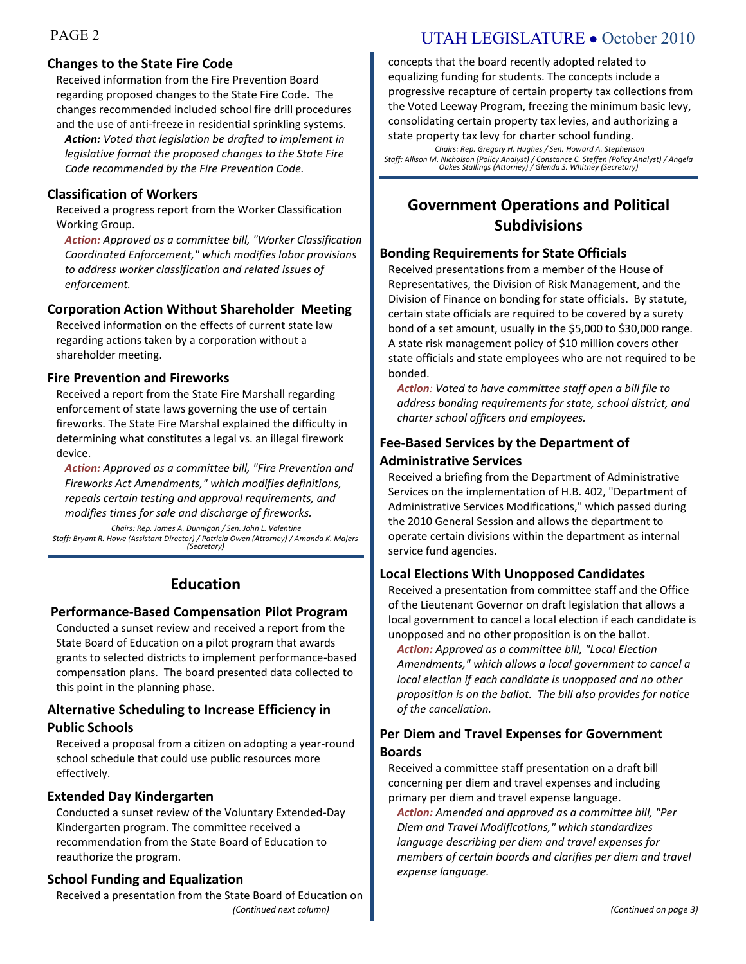## **Changes to the State Fire Code**

Received information from the Fire Prevention Board regarding proposed changes to the State Fire Code. The changes recommended included school fire drill procedures and the use of anti-freeze in residential sprinkling systems.

*Action: Voted that legislation be drafted to implement in legislative format the proposed changes to the State Fire Code recommended by the Fire Prevention Code.*

## **Classification of Workers**

Received a progress report from the Worker Classification Working Group.

*Action: Approved as a committee bill, "Worker Classification Coordinated Enforcement," which modifies labor provisions to address worker classification and related issues of enforcement.*

## **Corporation Action Without Shareholder Meeting**

Received information on the effects of current state law regarding actions taken by a corporation without a shareholder meeting.

## **Fire Prevention and Fireworks**

Received a report from the State Fire Marshall regarding enforcement of state laws governing the use of certain fireworks. The State Fire Marshal explained the difficulty in determining what constitutes a legal vs. an illegal firework device.

*Action: Approved as a committee bill, "Fire Prevention and Fireworks Act Amendments," which modifies definitions, repeals certain testing and approval requirements, and modifies times for sale and discharge of fireworks.*

*Chairs: Rep. James A. Dunnigan / Sen. John L. Valentine Staff: Bryant R. Howe (Assistant Director) / Patricia Owen (Attorney) / Amanda K. Majers (Secretary)*

## **Education**

## **Performance-Based Compensation Pilot Program**

Conducted a sunset review and received a report from the State Board of Education on a pilot program that awards grants to selected districts to implement performance-based compensation plans. The board presented data collected to this point in the planning phase.

## **Alternative Scheduling to Increase Efficiency in Public Schools**

Received a proposal from a citizen on adopting a year-round school schedule that could use public resources more effectively.

## **Extended Day Kindergarten**

Conducted a sunset review of the Voluntary Extended-Day Kindergarten program. The committee received a recommendation from the State Board of Education to reauthorize the program.

## **School Funding and Equalization**

*(Continued next column)* Received a presentation from the State Board of Education on

## PAGE 2 UTAH LEGISLATURE • October 2010

concepts that the board recently adopted related to equalizing funding for students. The concepts include a progressive recapture of certain property tax collections from the Voted Leeway Program, freezing the minimum basic levy, consolidating certain property tax levies, and authorizing a state property tax levy for charter school funding.

*Chairs: Rep. Gregory H. Hughes / Sen. Howard A. Stephenson Staff: Allison M. Nicholson (Policy Analyst) / Constance C. Steffen (Policy Analyst) / Angela Oakes Stallings (Attorney) / Glenda S. Whitney (Secretary)*

## **Government Operations and Political Subdivisions**

## **Bonding Requirements for State Officials**

Received presentations from a member of the House of Representatives, the Division of Risk Management, and the Division of Finance on bonding for state officials. By statute, certain state officials are required to be covered by a surety bond of a set amount, usually in the \$5,000 to \$30,000 range. A state risk management policy of \$10 million covers other state officials and state employees who are not required to be bonded.

*Action: Voted to have committee staff open a bill file to address bonding requirements for state, school district, and charter school officers and employees.*

## **Fee-Based Services by the Department of Administrative Services**

Received a briefing from the Department of Administrative Services on the implementation of H.B. 402, "Department of Administrative Services Modifications," which passed during the 2010 General Session and allows the department to operate certain divisions within the department as internal service fund agencies.

## **Local Elections With Unopposed Candidates**

Received a presentation from committee staff and the Office of the Lieutenant Governor on draft legislation that allows a local government to cancel a local election if each candidate is unopposed and no other proposition is on the ballot.

*Action: Approved as a committee bill, "Local Election Amendments," which allows a local government to cancel a local election if each candidate is unopposed and no other proposition is on the ballot. The bill also provides for notice of the cancellation.*

## **Per Diem and Travel Expenses for Government Boards**

Received a committee staff presentation on a draft bill concerning per diem and travel expenses and including primary per diem and travel expense language.

*Action: Amended and approved as a committee bill, "Per Diem and Travel Modifications," which standardizes language describing per diem and travel expenses for members of certain boards and clarifies per diem and travel expense language.*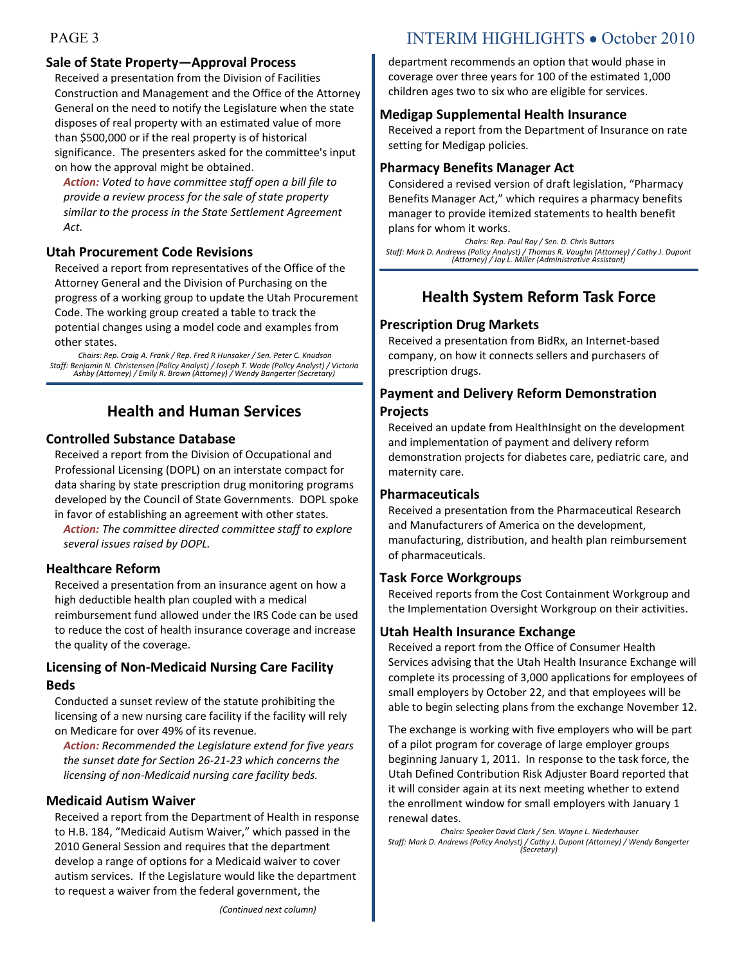## **Sale of State Property—Approval Process**

Received a presentation from the Division of Facilities Construction and Management and the Office of the Attorney General on the need to notify the Legislature when the state disposes of real property with an estimated value of more than \$500,000 or if the real property is of historical significance. The presenters asked for the committee's input on how the approval might be obtained.

*Action: Voted to have committee staff open a bill file to provide a review process for the sale of state property similar to the process in the State Settlement Agreement Act.*

## **Utah Procurement Code Revisions**

Received a report from representatives of the Office of the Attorney General and the Division of Purchasing on the progress of a working group to update the Utah Procurement Code. The working group created a table to track the potential changes using a model code and examples from other states.

*Chairs: Rep. Craig A. Frank / Rep. Fred R Hunsaker / Sen. Peter C. Knudson Staff: Benjamin N. Christensen (Policy Analyst) / Joseph T. Wade (Policy Analyst) / Victoria Ashby (Attorney) / Emily R. Brown (Attorney) / Wendy Bangerter (Secretary)*

## **Health and Human Services**

## **Controlled Substance Database**

Received a report from the Division of Occupational and Professional Licensing (DOPL) on an interstate compact for data sharing by state prescription drug monitoring programs developed by the Council of State Governments. DOPL spoke in favor of establishing an agreement with other states.

*Action: The committee directed committee staff to explore several issues raised by DOPL.*

## **Healthcare Reform**

Received a presentation from an insurance agent on how a high deductible health plan coupled with a medical reimbursement fund allowed under the IRS Code can be used to reduce the cost of health insurance coverage and increase the quality of the coverage.

## **Licensing of Non-Medicaid Nursing Care Facility Beds**

Conducted a sunset review of the statute prohibiting the licensing of a new nursing care facility if the facility will rely on Medicare for over 49% of its revenue.

*Action: Recommended the Legislature extend for five years the sunset date for Section 26-21-23 which concerns the licensing of non-Medicaid nursing care facility beds.*

## **Medicaid Autism Waiver**

Received a report from the Department of Health in response to H.B. 184, "Medicaid Autism Waiver," which passed in the 2010 General Session and requires that the department develop a range of options for a Medicaid waiver to cover autism services. If the Legislature would like the department to request a waiver from the federal government, the

## PAGE 3 INTERIM HIGHLIGHTS • October 2010

department recommends an option that would phase in coverage over three years for 100 of the estimated 1,000 children ages two to six who are eligible for services.

## **Medigap Supplemental Health Insurance**

Received a report from the Department of Insurance on rate setting for Medigap policies.

## **Pharmacy Benefits Manager Act**

Considered a revised version of draft legislation, "Pharmacy Benefits Manager Act," which requires a pharmacy benefits manager to provide itemized statements to health benefit plans for whom it works.

*Chairs: Rep. Paul Ray / Sen. D. Chris Buttars Staff: Mark D. Andrews (Policy Analyst) / Thomas R. Vaughn (Attorney) / Cathy J. Dupont (Attorney) / Joy L. Miller (Administrative Assistant)*

## **Health System Reform Task Force**

## **Prescription Drug Markets**

Received a presentation from BidRx, an Internet-based company, on how it connects sellers and purchasers of prescription drugs.

## **Payment and Delivery Reform Demonstration**

## **Projects**

Received an update from HealthInsight on the development and implementation of payment and delivery reform demonstration projects for diabetes care, pediatric care, and maternity care.

## **Pharmaceuticals**

Received a presentation from the Pharmaceutical Research and Manufacturers of America on the development, manufacturing, distribution, and health plan reimbursement of pharmaceuticals.

## **Task Force Workgroups**

Received reports from the Cost Containment Workgroup and the Implementation Oversight Workgroup on their activities.

## **Utah Health Insurance Exchange**

Received a report from the Office of Consumer Health Services advising that the Utah Health Insurance Exchange will complete its processing of 3,000 applications for employees of small employers by October 22, and that employees will be able to begin selecting plans from the exchange November 12.

The exchange is working with five employers who will be part of a pilot program for coverage of large employer groups beginning January 1, 2011. In response to the task force, the Utah Defined Contribution Risk Adjuster Board reported that it will consider again at its next meeting whether to extend the enrollment window for small employers with January 1 renewal dates.

*Chairs: Speaker David Clark / Sen. Wayne L. Niederhauser Staff: Mark D. Andrews (Policy Analyst) / Cathy J. Dupont (Attorney) / Wendy Bangerter (Secretary)*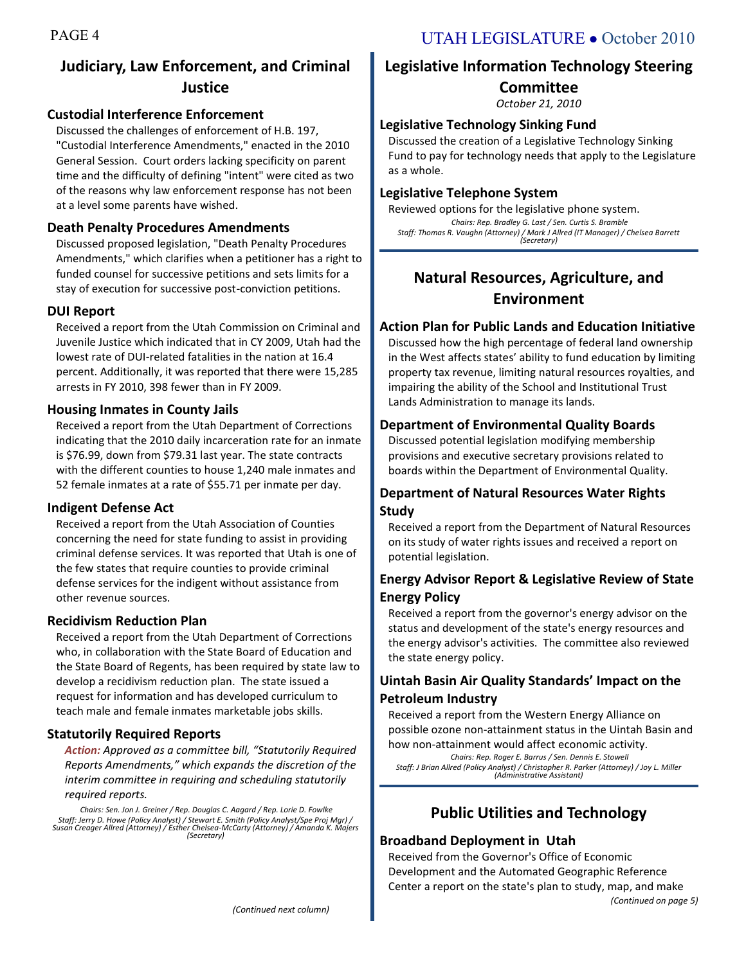## **Judiciary, Law Enforcement, and Criminal Justice**

## **Custodial Interference Enforcement**

Discussed the challenges of enforcement of H.B. 197, "Custodial Interference Amendments," enacted in the 2010 General Session. Court orders lacking specificity on parent time and the difficulty of defining "intent" were cited as two of the reasons why law enforcement response has not been at a level some parents have wished.

## **Death Penalty Procedures Amendments**

Discussed proposed legislation, "Death Penalty Procedures Amendments," which clarifies when a petitioner has a right to funded counsel for successive petitions and sets limits for a stay of execution for successive post-conviction petitions.

## **DUI Report**

Received a report from the Utah Commission on Criminal and Juvenile Justice which indicated that in CY 2009, Utah had the lowest rate of DUI-related fatalities in the nation at 16.4 percent. Additionally, it was reported that there were 15,285 arrests in FY 2010, 398 fewer than in FY 2009.

## **Housing Inmates in County Jails**

Received a report from the Utah Department of Corrections indicating that the 2010 daily incarceration rate for an inmate is \$76.99, down from \$79.31 last year. The state contracts with the different counties to house 1,240 male inmates and 52 female inmates at a rate of \$55.71 per inmate per day.

## **Indigent Defense Act**

Received a report from the Utah Association of Counties concerning the need for state funding to assist in providing criminal defense services. It was reported that Utah is one of the few states that require counties to provide criminal defense services for the indigent without assistance from other revenue sources.

## **Recidivism Reduction Plan**

Received a report from the Utah Department of Corrections who, in collaboration with the State Board of Education and the State Board of Regents, has been required by state law to develop a recidivism reduction plan. The state issued a request for information and has developed curriculum to teach male and female inmates marketable jobs skills.

## **Statutorily Required Reports**

*Action: Approved as a committee bill, "Statutorily Required Reports Amendments," which expands the discretion of the interim committee in requiring and scheduling statutorily required reports.*

*Chairs: Sen. Jon J. Greiner / Rep. Douglas C. Aagard / Rep. Lorie D. Fowlke Staff: Jerry D. Howe (Policy Analyst) / Stewart E. Smith (Policy Analyst/Spe Proj Mgr) / Susan Creager Allred (Attorney) / Esther Chelsea-McCarty (Attorney) / Amanda K. Majers (Secretary)*

## **Legislative Information Technology Steering Committee**

*October 21, 2010*

## **Legislative Technology Sinking Fund**

Discussed the creation of a Legislative Technology Sinking Fund to pay for technology needs that apply to the Legislature as a whole.

## **Legislative Telephone System**

Reviewed options for the legislative phone system. *Chairs: Rep. Bradley G. Last / Sen. Curtis S. Bramble Staff: Thomas R. Vaughn (Attorney) / Mark J Allred (IT Manager) / Chelsea Barrett (Secretary)*

## **Natural Resources, Agriculture, and Environment**

## **Action Plan for Public Lands and Education Initiative**

Discussed how the high percentage of federal land ownership in the West affects states' ability to fund education by limiting property tax revenue, limiting natural resources royalties, and impairing the ability of the School and Institutional Trust Lands Administration to manage its lands.

## **Department of Environmental Quality Boards**

Discussed potential legislation modifying membership provisions and executive secretary provisions related to boards within the Department of Environmental Quality.

## **Department of Natural Resources Water Rights Study**

Received a report from the Department of Natural Resources on its study of water rights issues and received a report on potential legislation.

## **Energy Advisor Report & Legislative Review of State Energy Policy**

Received a report from the governor's energy advisor on the status and development of the state's energy resources and the energy advisor's activities. The committee also reviewed the state energy policy.

## **Uintah Basin Air Quality Standards' Impact on the Petroleum Industry**

Received a report from the Western Energy Alliance on possible ozone non-attainment status in the Uintah Basin and

how non-attainment would affect economic activity. *Chairs: Rep. Roger E. Barrus / Sen. Dennis E. Stowell Staff: J Brian Allred (Policy Analyst) / Christopher R. Parker (Attorney) / Joy L. Miller (Administrative Assistant)*

## **Public Utilities and Technology**

## **Broadband Deployment in Utah**

Received from the Governor's Office of Economic Development and the Automated Geographic Reference Center a report on the state's plan to study, map, and make *(Continued on page 5)*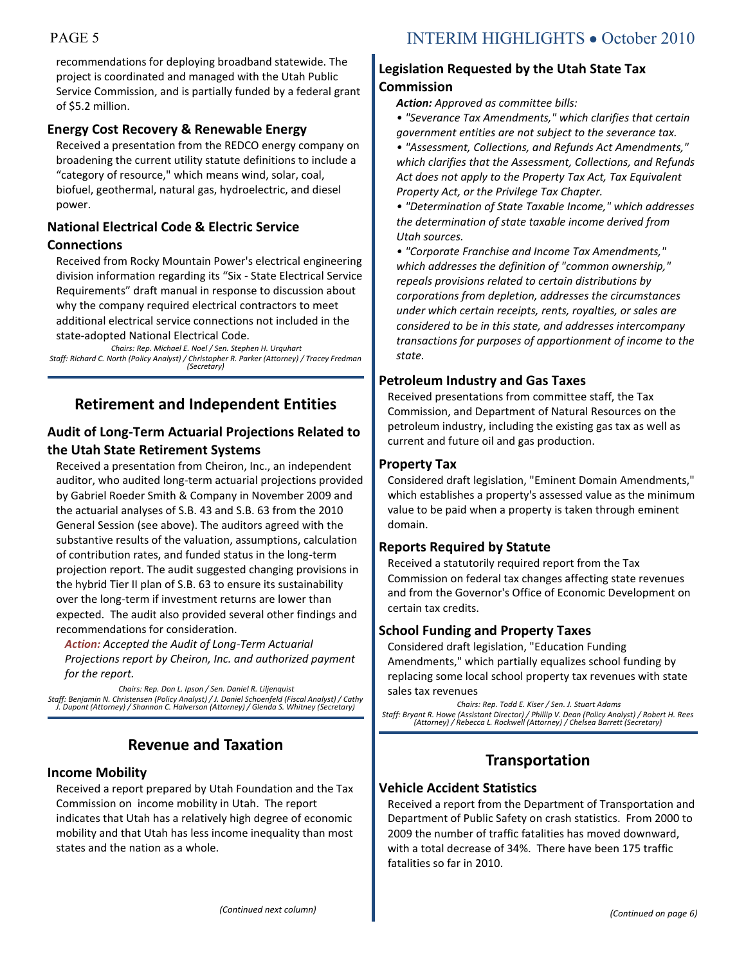recommendations for deploying broadband statewide. The project is coordinated and managed with the Utah Public Service Commission, and is partially funded by a federal grant of \$5.2 million.

## **Energy Cost Recovery & Renewable Energy**

Received a presentation from the REDCO energy company on broadening the current utility statute definitions to include a "category of resource," which means wind, solar, coal, biofuel, geothermal, natural gas, hydroelectric, and diesel power.

## **National Electrical Code & Electric Service Connections**

Received from Rocky Mountain Power's electrical engineering division information regarding its "Six - State Electrical Service Requirements" draft manual in response to discussion about why the company required electrical contractors to meet additional electrical service connections not included in the state-adopted National Electrical Code.

*Chairs: Rep. Michael E. Noel / Sen. Stephen H. Urquhart Staff: Richard C. North (Policy Analyst) / Christopher R. Parker (Attorney) / Tracey Fredman (Secretary)*

## **Retirement and Independent Entities**

## **Audit of Long-Term Actuarial Projections Related to the Utah State Retirement Systems**

Received a presentation from Cheiron, Inc., an independent auditor, who audited long-term actuarial projections provided by Gabriel Roeder Smith & Company in November 2009 and the actuarial analyses of S.B. 43 and S.B. 63 from the 2010 General Session (see above). The auditors agreed with the substantive results of the valuation, assumptions, calculation of contribution rates, and funded status in the long-term projection report. The audit suggested changing provisions in the hybrid Tier II plan of S.B. 63 to ensure its sustainability over the long-term if investment returns are lower than expected. The audit also provided several other findings and recommendations for consideration.

*Action: Accepted the Audit of Long-Term Actuarial Projections report by Cheiron, Inc. and authorized payment for the report.*

*Chairs: Rep. Don L. Ipson / Sen. Daniel R. Liljenquist Staff: Benjamin N. Christensen (Policy Analyst) / J. Daniel Schoenfeld (Fiscal Analyst) / Cathy J. Dupont (Attorney) / Shannon C. Halverson (Attorney) / Glenda S. Whitney (Secretary)*

## **Revenue and Taxation**

## **Income Mobility**

Received a report prepared by Utah Foundation and the Tax Commission on income mobility in Utah. The report indicates that Utah has a relatively high degree of economic mobility and that Utah has less income inequality than most states and the nation as a whole.

## **Legislation Requested by the Utah State Tax Commission**

*Action: Approved as committee bills:*

*• "Severance Tax Amendments," which clarifies that certain government entities are not subject to the severance tax.*

*• "Assessment, Collections, and Refunds Act Amendments," which clarifies that the Assessment, Collections, and Refunds Act does not apply to the Property Tax Act, Tax Equivalent Property Act, or the Privilege Tax Chapter.*

*• "Determination of State Taxable Income," which addresses the determination of state taxable income derived from Utah sources.*

*• "Corporate Franchise and Income Tax Amendments," which addresses the definition of "common ownership," repeals provisions related to certain distributions by corporations from depletion, addresses the circumstances under which certain receipts, rents, royalties, or sales are considered to be in this state, and addresses intercompany transactions for purposes of apportionment of income to the state.*

## **Petroleum Industry and Gas Taxes**

Received presentations from committee staff, the Tax Commission, and Department of Natural Resources on the petroleum industry, including the existing gas tax as well as current and future oil and gas production.

#### **Property Tax**

Considered draft legislation, "Eminent Domain Amendments," which establishes a property's assessed value as the minimum value to be paid when a property is taken through eminent domain.

## **Reports Required by Statute**

Received a statutorily required report from the Tax Commission on federal tax changes affecting state revenues and from the Governor's Office of Economic Development on certain tax credits.

## **School Funding and Property Taxes**

Considered draft legislation, "Education Funding Amendments," which partially equalizes school funding by replacing some local school property tax revenues with state sales tax revenues

*Chairs: Rep. Todd E. Kiser / Sen. J. Stuart Adams Staff: Bryant R. Howe (Assistant Director) / Phillip V. Dean (Policy Analyst) / Robert H. Rees (Attorney) / Rebecca L. Rockwell (Attorney) / Chelsea Barrett (Secretary)*

## **Transportation**

## **Vehicle Accident Statistics**

Received a report from the Department of Transportation and Department of Public Safety on crash statistics. From 2000 to 2009 the number of traffic fatalities has moved downward, with a total decrease of 34%. There have been 175 traffic fatalities so far in 2010.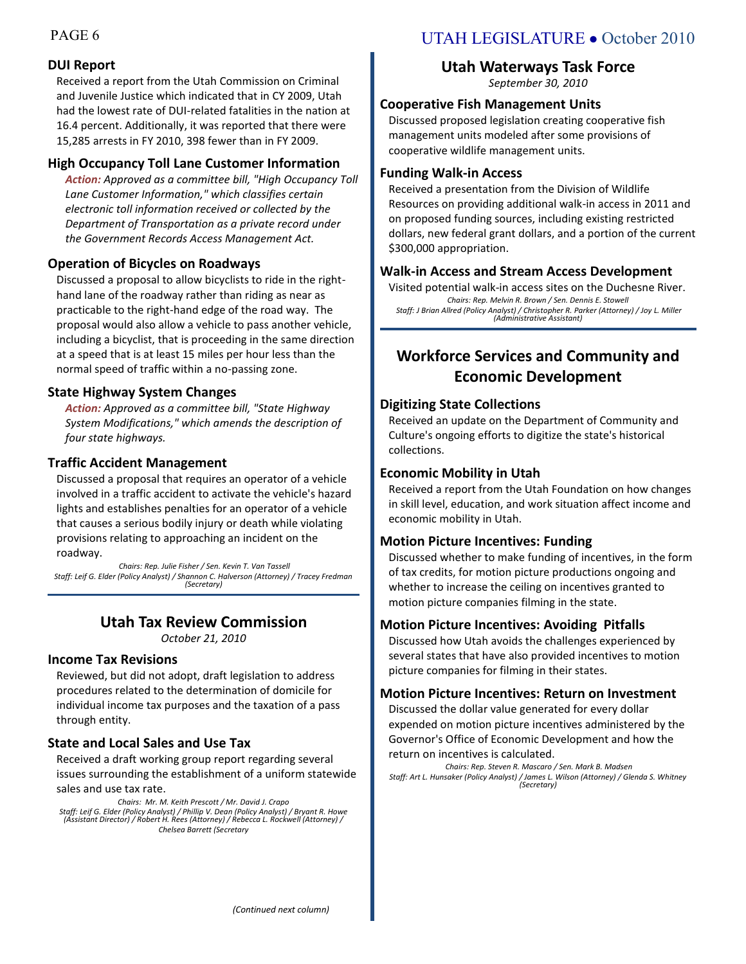## **DUI Report**

Received a report from the Utah Commission on Criminal and Juvenile Justice which indicated that in CY 2009, Utah had the lowest rate of DUI-related fatalities in the nation at 16.4 percent. Additionally, it was reported that there were 15,285 arrests in FY 2010, 398 fewer than in FY 2009.

## **High Occupancy Toll Lane Customer Information**

*Action: Approved as a committee bill, "High Occupancy Toll Lane Customer Information," which classifies certain electronic toll information received or collected by the Department of Transportation as a private record under the Government Records Access Management Act.*

## **Operation of Bicycles on Roadways**

Discussed a proposal to allow bicyclists to ride in the righthand lane of the roadway rather than riding as near as practicable to the right-hand edge of the road way. The proposal would also allow a vehicle to pass another vehicle, including a bicyclist, that is proceeding in the same direction at a speed that is at least 15 miles per hour less than the normal speed of traffic within a no-passing zone.

## **State Highway System Changes**

*Action: Approved as a committee bill, "State Highway System Modifications," which amends the description of four state highways.*

## **Traffic Accident Management**

Discussed a proposal that requires an operator of a vehicle involved in a traffic accident to activate the vehicle's hazard lights and establishes penalties for an operator of a vehicle that causes a serious bodily injury or death while violating provisions relating to approaching an incident on the roadway.

*Chairs: Rep. Julie Fisher / Sen. Kevin T. Van Tassell Staff: Leif G. Elder (Policy Analyst) / Shannon C. Halverson (Attorney) / Tracey Fredman (Secretary)*

## **Utah Tax Review Commission**

*October 21, 2010*

## **Income Tax Revisions**

Reviewed, but did not adopt, draft legislation to address procedures related to the determination of domicile for individual income tax purposes and the taxation of a pass through entity.

## **State and Local Sales and Use Tax**

Received a draft working group report regarding several issues surrounding the establishment of a uniform statewide sales and use tax rate.

*Chairs: Mr. M. Keith Prescott / Mr. David J. Crapo Staff: Leif G. Elder (Policy Analyst) / Phillip V. Dean (Policy Analyst) / Bryant R. Howe (Assistant Director) / Robert H. Rees (Attorney) / Rebecca L. Rockwell (Attorney) / Chelsea Barrett (Secretary*

## PAGE 6 UTAH LEGISLATURE • October 2010

## **Utah Waterways Task Force**

*September 30, 2010*

## **Cooperative Fish Management Units**

Discussed proposed legislation creating cooperative fish management units modeled after some provisions of cooperative wildlife management units.

## **Funding Walk-in Access**

Received a presentation from the Division of Wildlife Resources on providing additional walk-in access in 2011 and on proposed funding sources, including existing restricted dollars, new federal grant dollars, and a portion of the current \$300,000 appropriation.

## **Walk-in Access and Stream Access Development**

Visited potential walk-in access sites on the Duchesne River. *Chairs: Rep. Melvin R. Brown / Sen. Dennis E. Stowell Staff: J Brian Allred (Policy Analyst) / Christopher R. Parker (Attorney) / Joy L. Miller (Administrative Assistant)*

## **Workforce Services and Community and Economic Development**

## **Digitizing State Collections**

Received an update on the Department of Community and Culture's ongoing efforts to digitize the state's historical collections.

## **Economic Mobility in Utah**

Received a report from the Utah Foundation on how changes in skill level, education, and work situation affect income and economic mobility in Utah.

## **Motion Picture Incentives: Funding**

Discussed whether to make funding of incentives, in the form of tax credits, for motion picture productions ongoing and whether to increase the ceiling on incentives granted to motion picture companies filming in the state.

## **Motion Picture Incentives: Avoiding Pitfalls**

Discussed how Utah avoids the challenges experienced by several states that have also provided incentives to motion picture companies for filming in their states.

## **Motion Picture Incentives: Return on Investment**

Discussed the dollar value generated for every dollar expended on motion picture incentives administered by the Governor's Office of Economic Development and how the return on incentives is calculated.

*Chairs: Rep. Steven R. Mascaro / Sen. Mark B. Madsen Staff: Art L. Hunsaker (Policy Analyst) / James L. Wilson (Attorney) / Glenda S. Whitney (Secretary)*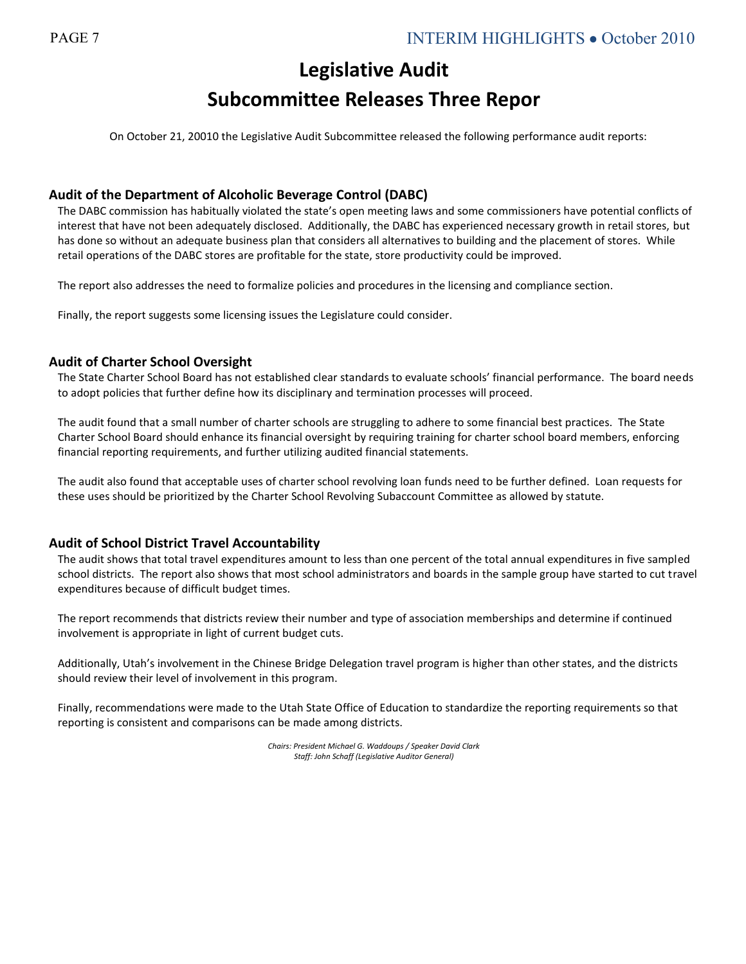## **Legislative Audit Subcommittee Releases Three Repor**

On October 21, 20010 the Legislative Audit Subcommittee released the following performance audit reports:

## **Audit of the Department of Alcoholic Beverage Control (DABC)**

The DABC commission has habitually violated the state's open meeting laws and some commissioners have potential conflicts of interest that have not been adequately disclosed. Additionally, the DABC has experienced necessary growth in retail stores, but has done so without an adequate business plan that considers all alternatives to building and the placement of stores. While retail operations of the DABC stores are profitable for the state, store productivity could be improved.

The report also addresses the need to formalize policies and procedures in the licensing and compliance section.

Finally, the report suggests some licensing issues the Legislature could consider.

## **Audit of Charter School Oversight**

The State Charter School Board has not established clear standards to evaluate schools' financial performance. The board needs to adopt policies that further define how its disciplinary and termination processes will proceed.

The audit found that a small number of charter schools are struggling to adhere to some financial best practices. The State Charter School Board should enhance its financial oversight by requiring training for charter school board members, enforcing financial reporting requirements, and further utilizing audited financial statements.

The audit also found that acceptable uses of charter school revolving loan funds need to be further defined. Loan requests for these uses should be prioritized by the Charter School Revolving Subaccount Committee as allowed by statute.

## **Audit of School District Travel Accountability**

The audit shows that total travel expenditures amount to less than one percent of the total annual expenditures in five sampled school districts. The report also shows that most school administrators and boards in the sample group have started to cut travel expenditures because of difficult budget times.

The report recommends that districts review their number and type of association memberships and determine if continued involvement is appropriate in light of current budget cuts.

Additionally, Utah's involvement in the Chinese Bridge Delegation travel program is higher than other states, and the districts should review their level of involvement in this program.

Finally, recommendations were made to the Utah State Office of Education to standardize the reporting requirements so that reporting is consistent and comparisons can be made among districts.

> *Chairs: President Michael G. Waddoups / Speaker David Clark Staff: John Schaff (Legislative Auditor General)*